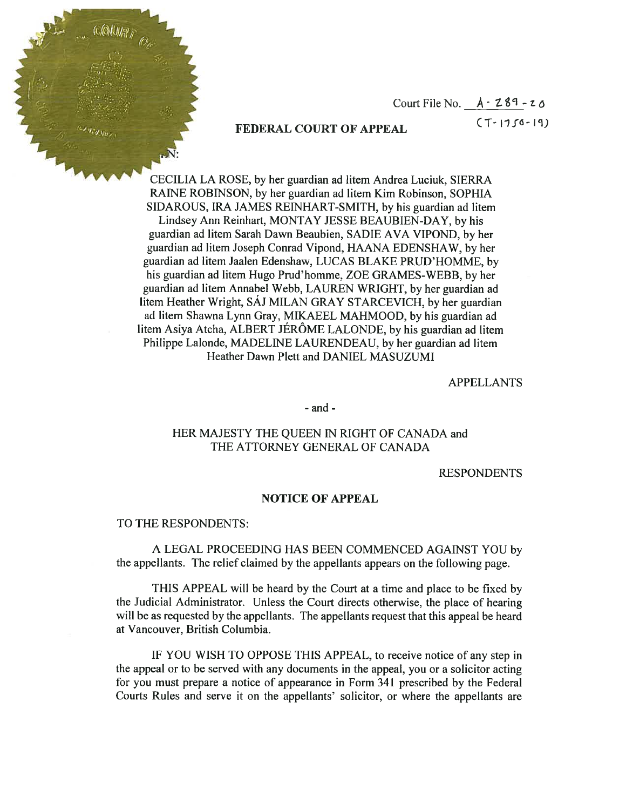Court File No.  $A - 289 - 20$ 

# FEDERAL COURT OF APPEAL (T-1756-19)

CECILIA LA ROSE, by her guardian ad litem Andrea Luciuk, SIERRA RAINE ROBINSON, by her guardian ad litem Kim Robinson, SOPHIA SIDAROUS, IRA JAMES REINHART-SMITH, by his guardian ad litem Lindsey Ann Reinhart, MONTAY JESSE BEAUBIEN-DAY, by his guardian ad litem Sarah Dawn Beaubien, SADIE AVA VIPOND, by her guardian ad litem Joseph Conrad Vipond, HAANA EDENSHAW, by her guardian ad litem Jaalen Edenshaw, LUCAS BLAKE PRUD'HOMME, by his guardian ad litem Hugo Prud'homme, ZOE GRAMES-WEBB, by her guardian ad litem Annabel Webb, LAUREN WRIGHT, by her guardian ad litem Heather Wright, SAJ MILAN GRAY STARCEVICH, by her guardian ad litem Shawna Lynn Gray, MIKAEEL MAHMOOD, by his guardian ad litem Asiya Atcha, ALBERT JÉRÔME LALONDE, by his guardian ad litem Philippe Lalonde, MADELINE LAURENDEAU, by her guardian ad litem Heather Dawn Plett and DANIEL MASUZUMI

APPELLANTS

- and -

## HER MAJESTY THE QUEEN IN RIGHT OF CANADA and THE ATTORNEY GENERAL OF CANADA

RESPONDENTS

#### NOTICE OF APPEAL

### TO THE RESPONDENTS:

 $4.011/3$ 

A LEGAL PROCEEDING HAS BEEN COMMENCED AGAINST YOU by the appellants. The relief claimed by the appellants appears on the following page.

THIS APPEAL will be heard by the Court at <sup>a</sup> time and place to be fixed by the Judicial Administrator. Unless the Court directs otherwise, the place of hearing will be as requested by the appellants. The appellants request that this appeal be heard at Vancouver, British Columbia.

IF YOU WISH TO OPPOSE THIS APPEAL, to receive notice of any step in the appeal or to be served with any documents in the appeal, you or a solicitor acting for you must prepare <sup>a</sup> notice of appearance in Form 341 prescribed by the Federal Courts Rules and serve it on the appellants' solicitor, or where the appellants are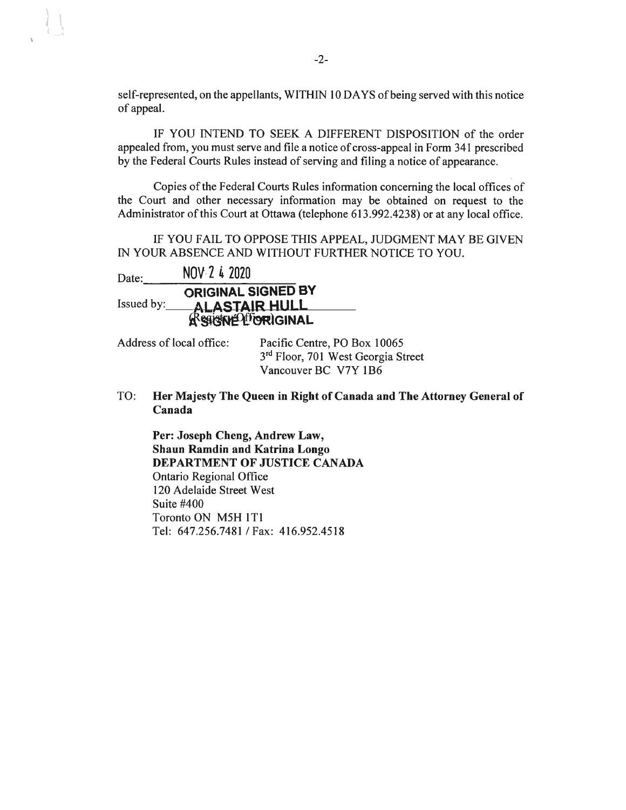self-represented, on the appellants, WITHIN <sup>10</sup> DAYS of being served with this notice of appeal.

IF YOU INTEND TO SEEK A DIFFERENT DISPOSITION of the order appealed from, you must serve and file <sup>a</sup> notice of cross-appeal in Form 341 prescribed by the Federal Courts Rules instead of serving and filing <sup>a</sup> notice of appearance.

Copies of the Federal Courts Rules information concerning the local offices of the Court and other necessary information may be obtained on request to the Administrator of this Court at Ottawa (telephone 613.992.4238) or at any local office.

IF YOU FAIL TO OPPOSE THIS APPEAL, JUDGMENT MAY BE GIVEN IN YOUR ABSENCE AND WITHOUT FURTHER NOTICE TO YOU.

| Date:      | NOV-2 4 2020                                      |
|------------|---------------------------------------------------|
| Issued by: | <b>ORIGINAL SIGNED BY</b><br><b>ALASTAIR HULL</b> |
|            | Resigne Lioniginal                                |

Address of local office: Pacific Centre, PO Box 10065 3rd Floor, 701 West Georgia Street Vancouver BC V7Y 1B6

TO: Her Majesty The Queen in Right of Canada and The Attorney General of Canada

Per: Joseph Cheng, Andrew Law, Shaun Ramdin and Katrina Longo DEPARTMENT OF JUSTICE CANADA Ontario Regional Office 120 Adelaide Street West Suite #400 Toronto ON M5H 1T1 Tel: 647.256.7481 /Fax: 416.952.4518